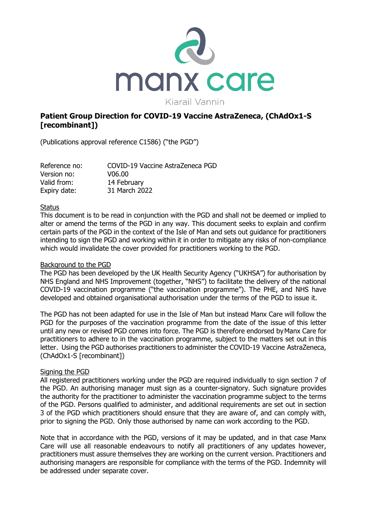

# **Patient Group Direction for COVID-19 Vaccine AstraZeneca, (ChAdOx1-S [recombinant])**

(Publications approval reference C1586) ("the PGD")

Reference no: COVID-19 Vaccine AstraZeneca PGD Version no: V06.00 Valid from: 14 February Expiry date: 31 March 2022

#### **Status**

This document is to be read in conjunction with the PGD and shall not be deemed or implied to alter or amend the terms of the PGD in any way. This document seeks to explain and confirm certain parts of the PGD in the context of the Isle of Man and sets out guidance for practitioners intending to sign the PGD and working within it in order to mitigate any risks of non-compliance which would invalidate the cover provided for practitioners working to the PGD.

### Background to the PGD

The PGD has been developed by the UK Health Security Agency ("UKHSA") for authorisation by NHS England and NHS Improvement (together, "NHS") to facilitate the delivery of the national COVID-19 vaccination programme ("the vaccination programme"). The PHE, and NHS have developed and obtained organisational authorisation under the terms of the PGD to issue it.

The PGD has not been adapted for use in the Isle of Man but instead Manx Care will follow the PGD for the purposes of the vaccination programme from the date of the issue of this letter until any new or revised PGD comes into force. The PGD is therefore endorsed byManx Care for practitioners to adhere to in the vaccination programme, subject to the matters set out in this letter. Using the PGD authorises practitioners to administer the COVID-19 Vaccine AstraZeneca, (ChAdOx1-S [recombinant])

# Signing the PGD

All registered practitioners working under the PGD are required individually to sign section 7 of the PGD. An authorising manager must sign as a counter-signatory. Such signature provides the authority for the practitioner to administer the vaccination programme subject to the terms of the PGD. Persons qualified to administer, and additional requirements are set out in section 3 of the PGD which practitioners should ensure that they are aware of, and can comply with, prior to signing the PGD. Only those authorised by name can work according to the PGD.

Note that in accordance with the PGD, versions of it may be updated, and in that case Manx Care will use all reasonable endeavours to notify all practitioners of any updates however, practitioners must assure themselves they are working on the current version. Practitioners and authorising managers are responsible for compliance with the terms of the PGD. Indemnity will be addressed under separate cover.